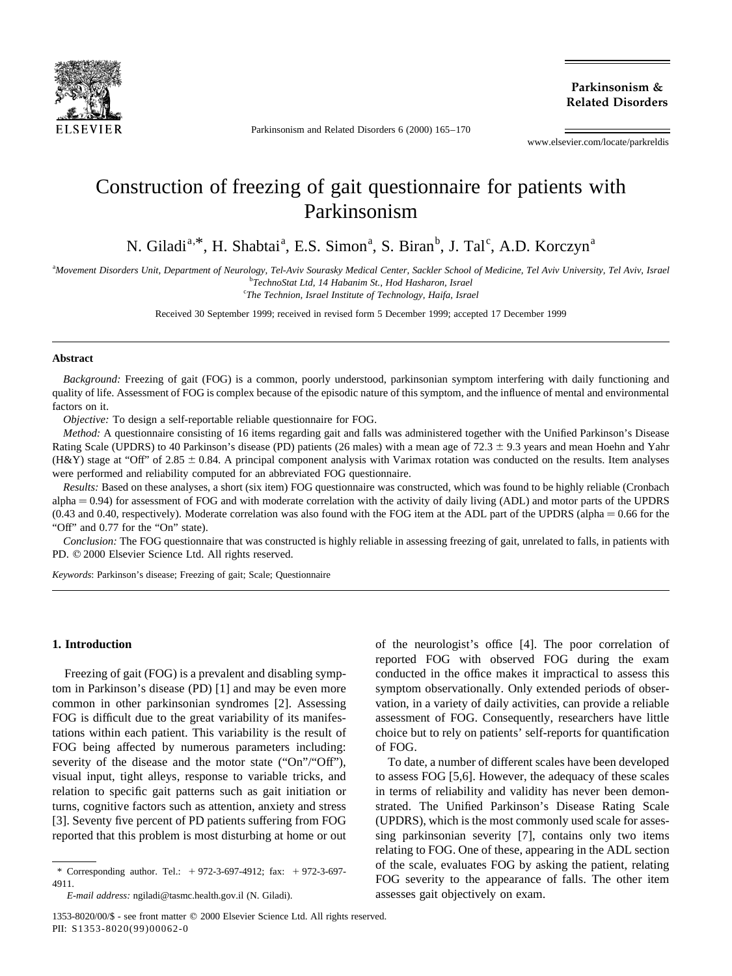

Parkinsonism and Related Disorders 6 (2000) 165–170

**Parkinsonism & Related Disorders**

www.elsevier.com/locate/parkreldis

# Construction of freezing of gait questionnaire for patients with Parkinsonism

N. Giladi<sup>a,\*</sup>, H. Shabtai<sup>a</sup>, E.S. Simon<sup>a</sup>, S. Biran<sup>b</sup>, J. Tal<sup>c</sup>, A.D. Korczyn<sup>a</sup>

a *Movement Disorders Unit, Department of Neurology, Tel-Aviv Sourasky Medical Center, Sackler School of Medicine, Tel Aviv University, Tel Aviv, Israel* b *TechnoStat Ltd, 14 Habanim St., Hod Hasharon, Israel*

c *The Technion, Israel Institute of Technology, Haifa, Israel*

Received 30 September 1999; received in revised form 5 December 1999; accepted 17 December 1999

#### **Abstract**

*Background:* Freezing of gait (FOG) is a common, poorly understood, parkinsonian symptom interfering with daily functioning and quality of life. Assessment of FOG is complex because of the episodic nature of this symptom, and the influence of mental and environmental factors on it.

*Objective:* To design a self-reportable reliable questionnaire for FOG.

*Method:* A questionnaire consisting of 16 items regarding gait and falls was administered together with the Unified Parkinson's Disease Rating Scale (UPDRS) to 40 Parkinson's disease (PD) patients (26 males) with a mean age of  $72.3 \pm 9.3$  years and mean Hoehn and Yahr (H&Y) stage at "Off" of 2.85  $\pm$  0.84. A principal component analysis with Varimax rotation was conducted on the results. Item analyses were performed and reliability computed for an abbreviated FOG questionnaire.

*Results:* Based on these analyses, a short (six item) FOG questionnaire was constructed, which was found to be highly reliable (Cronbach alpha  $= 0.94$ ) for assessment of FOG and with moderate correlation with the activity of daily living (ADL) and motor parts of the UPDRS  $(0.43 \text{ and } 0.40, \text{ respectively})$ . Moderate correlation was also found with the FOG item at the ADL part of the UPDRS (alpha  $= 0.66$  for the "Off" and 0.77 for the "On" state).

*Conclusion:* The FOG questionnaire that was constructed is highly reliable in assessing freezing of gait, unrelated to falls, in patients with PD.  $@$  2000 Elsevier Science Ltd. All rights reserved.

*Keywords*: Parkinson's disease; Freezing of gait; Scale; Questionnaire

#### **1. Introduction**

Freezing of gait (FOG) is a prevalent and disabling symptom in Parkinson's disease (PD) [1] and may be even more common in other parkinsonian syndromes [2]. Assessing FOG is difficult due to the great variability of its manifestations within each patient. This variability is the result of FOG being affected by numerous parameters including: severity of the disease and the motor state ("On"/"Off"), visual input, tight alleys, response to variable tricks, and relation to specific gait patterns such as gait initiation or turns, cognitive factors such as attention, anxiety and stress [3]. Seventy five percent of PD patients suffering from FOG reported that this problem is most disturbing at home or out of the neurologist's office [4]. The poor correlation of reported FOG with observed FOG during the exam conducted in the office makes it impractical to assess this symptom observationally. Only extended periods of observation, in a variety of daily activities, can provide a reliable assessment of FOG. Consequently, researchers have little choice but to rely on patients' self-reports for quantification of FOG.

To date, a number of different scales have been developed to assess FOG [5,6]. However, the adequacy of these scales in terms of reliability and validity has never been demonstrated. The Unified Parkinson's Disease Rating Scale (UPDRS), which is the most commonly used scale for assessing parkinsonian severity [7], contains only two items relating to FOG. One of these, appearing in the ADL section of the scale, evaluates FOG by asking the patient, relating FOG severity to the appearance of falls. The other item assesses gait objectively on exam.

<sup>\*</sup> Corresponding author. Tel.:  $+ 972-3-697-4912$ ; fax:  $+ 972-3-697-$ 4911.

*E-mail address:* ngiladi@tasmc.health.gov.il (N. Giladi).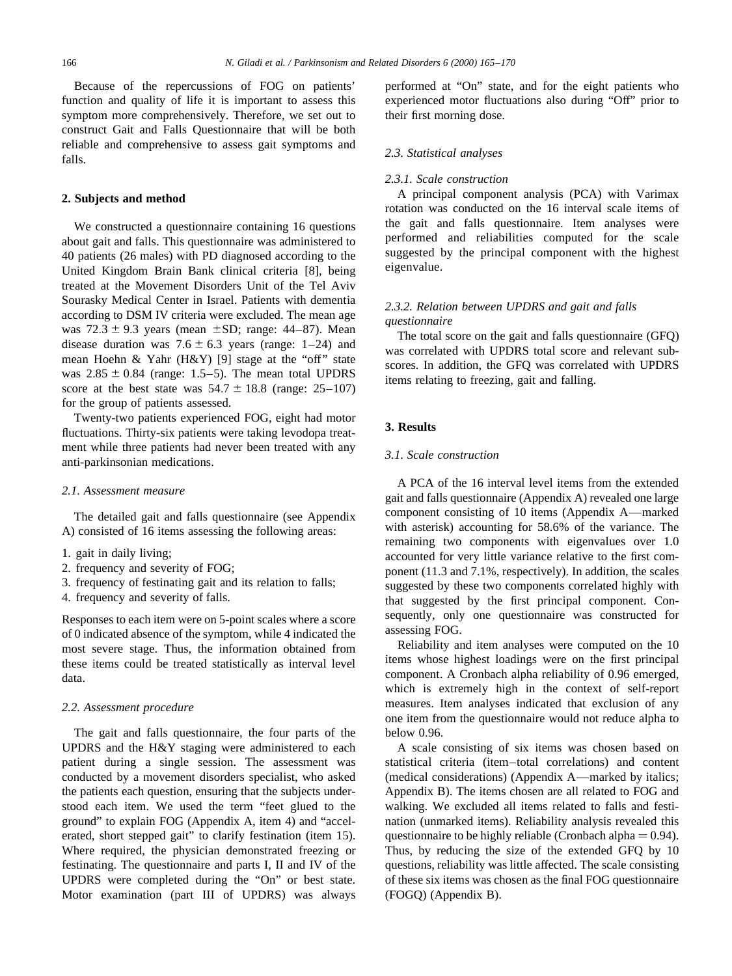Because of the repercussions of FOG on patients' function and quality of life it is important to assess this symptom more comprehensively. Therefore, we set out to construct Gait and Falls Questionnaire that will be both reliable and comprehensive to assess gait symptoms and falls.

#### **2. Subjects and method**

We constructed a questionnaire containing 16 questions about gait and falls. This questionnaire was administered to 40 patients (26 males) with PD diagnosed according to the United Kingdom Brain Bank clinical criteria [8], being treated at the Movement Disorders Unit of the Tel Aviv Sourasky Medical Center in Israel. Patients with dementia according to DSM IV criteria were excluded. The mean age was  $72.3 \pm 9.3$  years (mean  $\pm$ SD; range: 44–87). Mean disease duration was  $7.6 \pm 6.3$  years (range: 1–24) and mean Hoehn & Yahr (H&Y) [9] stage at the "off" state was  $2.85 \pm 0.84$  (range: 1.5–5). The mean total UPDRS score at the best state was  $54.7 \pm 18.8$  (range: 25–107) for the group of patients assessed.

Twenty-two patients experienced FOG, eight had motor fluctuations. Thirty-six patients were taking levodopa treatment while three patients had never been treated with any anti-parkinsonian medications.

#### *2.1. Assessment measure*

The detailed gait and falls questionnaire (see Appendix A) consisted of 16 items assessing the following areas:

- 1. gait in daily living;
- 2. frequency and severity of FOG;
- 3. frequency of festinating gait and its relation to falls;
- 4. frequency and severity of falls.

Responses to each item were on 5-point scales where a score of 0 indicated absence of the symptom, while 4 indicated the most severe stage. Thus, the information obtained from these items could be treated statistically as interval level data.

#### *2.2. Assessment procedure*

The gait and falls questionnaire, the four parts of the UPDRS and the H&Y staging were administered to each patient during a single session. The assessment was conducted by a movement disorders specialist, who asked the patients each question, ensuring that the subjects understood each item. We used the term "feet glued to the ground" to explain FOG (Appendix A, item 4) and "accelerated, short stepped gait" to clarify festination (item 15). Where required, the physician demonstrated freezing or festinating. The questionnaire and parts I, II and IV of the UPDRS were completed during the "On" or best state. Motor examination (part III of UPDRS) was always

performed at "On" state, and for the eight patients who experienced motor fluctuations also during "Off" prior to their first morning dose.

#### *2.3. Statistical analyses*

## *2.3.1. Scale construction*

A principal component analysis (PCA) with Varimax rotation was conducted on the 16 interval scale items of the gait and falls questionnaire. Item analyses were performed and reliabilities computed for the scale suggested by the principal component with the highest eigenvalue.

## *2.3.2. Relation between UPDRS and gait and falls questionnaire*

The total score on the gait and falls questionnaire (GFQ) was correlated with UPDRS total score and relevant subscores. In addition, the GFQ was correlated with UPDRS items relating to freezing, gait and falling.

## **3. Results**

#### *3.1. Scale construction*

A PCA of the 16 interval level items from the extended gait and falls questionnaire (Appendix A) revealed one large component consisting of 10 items (Appendix A—marked with asterisk) accounting for 58.6% of the variance. The remaining two components with eigenvalues over 1.0 accounted for very little variance relative to the first component (11.3 and 7.1%, respectively). In addition, the scales suggested by these two components correlated highly with that suggested by the first principal component. Consequently, only one questionnaire was constructed for assessing FOG.

Reliability and item analyses were computed on the 10 items whose highest loadings were on the first principal component. A Cronbach alpha reliability of 0.96 emerged, which is extremely high in the context of self-report measures. Item analyses indicated that exclusion of any one item from the questionnaire would not reduce alpha to below 0.96.

A scale consisting of six items was chosen based on statistical criteria (item–total correlations) and content (medical considerations) (Appendix A—marked by italics; Appendix B). The items chosen are all related to FOG and walking. We excluded all items related to falls and festination (unmarked items). Reliability analysis revealed this questionnaire to be highly reliable (Cronbach alpha  $= 0.94$ ). Thus, by reducing the size of the extended GFQ by 10 questions, reliability was little affected. The scale consisting of these six items was chosen as the final FOG questionnaire (FOGQ) (Appendix B).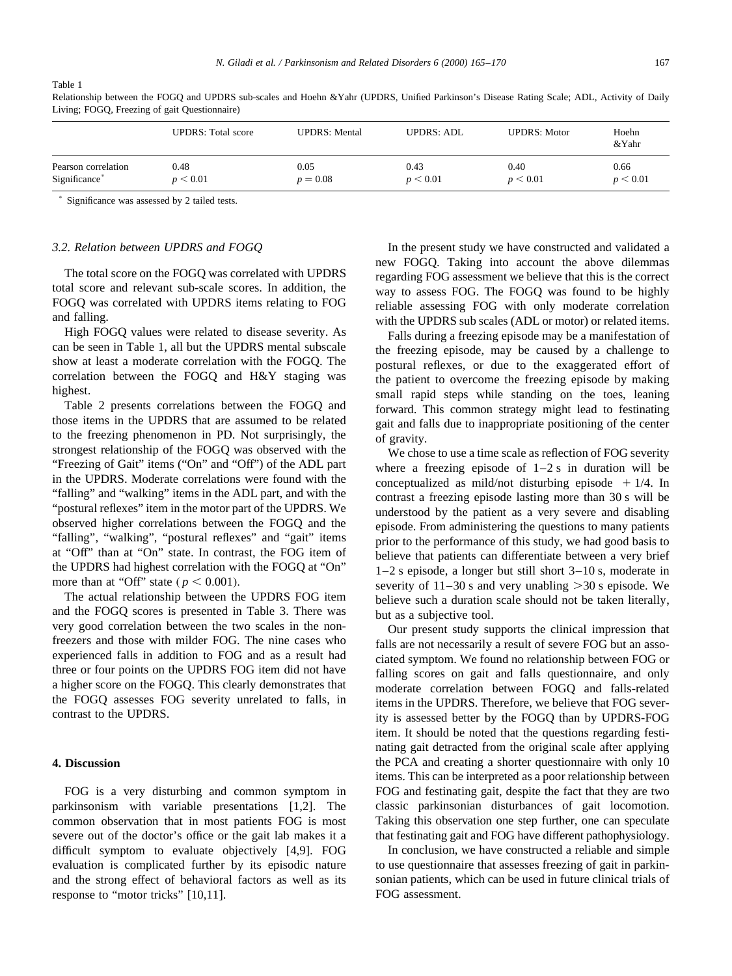Table 1

|                           | <b>UPDRS:</b> Total score | <b>UPDRS:</b> Mental | <b>UPDRS: ADL</b> | <b>UPDRS: Motor</b> | Hoehn<br>&Yahr |
|---------------------------|---------------------------|----------------------|-------------------|---------------------|----------------|
| Pearson correlation       | 0.48                      | 0.05                 | 0.43              | 0.40                | 0.66           |
| Significance <sup>*</sup> | p < 0.01                  | $p = 0.08$           | p < 0.01          | p < 0.01            | p < 0.01       |

Relationship between the FOGQ and UPDRS sub-scales and Hoehn &Yahr (UPDRS, Unified Parkinson's Disease Rating Scale; ADL, Activity of Daily Living; FOGQ, Freezing of gait Questionnaire)

 $*$  Significance was assessed by 2 tailed tests.

#### *3.2. Relation between UPDRS and FOGQ*

The total score on the FOGQ was correlated with UPDRS total score and relevant sub-scale scores. In addition, the FOGQ was correlated with UPDRS items relating to FOG and falling.

High FOGQ values were related to disease severity. As can be seen in Table 1, all but the UPDRS mental subscale show at least a moderate correlation with the FOGQ. The correlation between the FOGQ and H&Y staging was highest.

Table 2 presents correlations between the FOGQ and those items in the UPDRS that are assumed to be related to the freezing phenomenon in PD. Not surprisingly, the strongest relationship of the FOGQ was observed with the "Freezing of Gait" items ("On" and "Off") of the ADL part in the UPDRS. Moderate correlations were found with the "falling" and "walking" items in the ADL part, and with the "postural reflexes" item in the motor part of the UPDRS. We observed higher correlations between the FOGQ and the "falling", "walking", "postural reflexes" and "gait" items at "Off" than at "On" state. In contrast, the FOG item of the UPDRS had highest correlation with the FOGQ at "On" more than at "Off" state ( $p < 0.001$ ).

The actual relationship between the UPDRS FOG item and the FOGQ scores is presented in Table 3. There was very good correlation between the two scales in the nonfreezers and those with milder FOG. The nine cases who experienced falls in addition to FOG and as a result had three or four points on the UPDRS FOG item did not have a higher score on the FOGQ. This clearly demonstrates that the FOGQ assesses FOG severity unrelated to falls, in contrast to the UPDRS.

#### **4. Discussion**

FOG is a very disturbing and common symptom in parkinsonism with variable presentations [1,2]. The common observation that in most patients FOG is most severe out of the doctor's office or the gait lab makes it a difficult symptom to evaluate objectively [4,9]. FOG evaluation is complicated further by its episodic nature and the strong effect of behavioral factors as well as its response to "motor tricks" [10,11].

In the present study we have constructed and validated a new FOGQ. Taking into account the above dilemmas regarding FOG assessment we believe that this is the correct way to assess FOG. The FOGQ was found to be highly reliable assessing FOG with only moderate correlation with the UPDRS sub scales (ADL or motor) or related items.

Falls during a freezing episode may be a manifestation of the freezing episode, may be caused by a challenge to postural reflexes, or due to the exaggerated effort of the patient to overcome the freezing episode by making small rapid steps while standing on the toes, leaning forward. This common strategy might lead to festinating gait and falls due to inappropriate positioning of the center of gravity.

We chose to use a time scale as reflection of FOG severity where a freezing episode of  $1-2$  s in duration will be conceptualized as mild/not disturbing episode  $+1/4$ . In contrast a freezing episode lasting more than 30 s will be understood by the patient as a very severe and disabling episode. From administering the questions to many patients prior to the performance of this study, we had good basis to believe that patients can differentiate between a very brief 1–2 s episode, a longer but still short 3–10 s, moderate in severity of  $11-30$  s and very unabling  $>30$  s episode. We believe such a duration scale should not be taken literally, but as a subjective tool.

Our present study supports the clinical impression that falls are not necessarily a result of severe FOG but an associated symptom. We found no relationship between FOG or falling scores on gait and falls questionnaire, and only moderate correlation between FOGQ and falls-related items in the UPDRS. Therefore, we believe that FOG severity is assessed better by the FOGQ than by UPDRS-FOG item. It should be noted that the questions regarding festinating gait detracted from the original scale after applying the PCA and creating a shorter questionnaire with only 10 items. This can be interpreted as a poor relationship between FOG and festinating gait, despite the fact that they are two classic parkinsonian disturbances of gait locomotion. Taking this observation one step further, one can speculate that festinating gait and FOG have different pathophysiology.

In conclusion, we have constructed a reliable and simple to use questionnaire that assesses freezing of gait in parkinsonian patients, which can be used in future clinical trials of FOG assessment.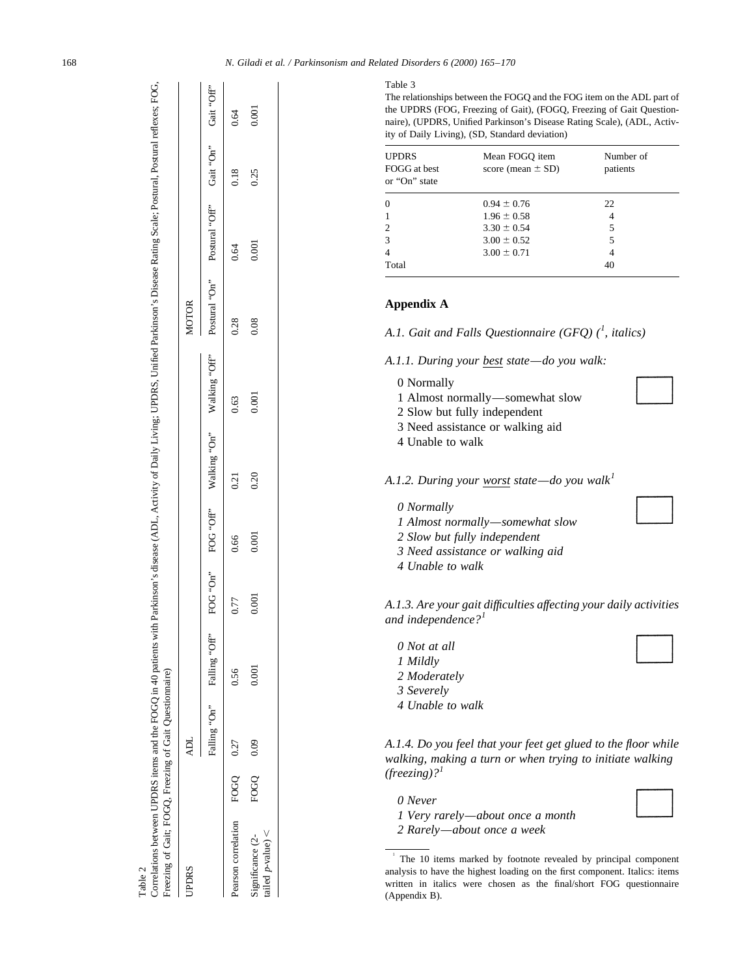| Correlations between UPDRS items and the FOGQ in 40 patients with Parkinson's disease (ADL, Activity of Daily Living; UPDRS, Unified Parkinson's Disease Rating Scale; Postural, Postural reflexes; FOG,<br>Freezing of Gait; FOGQ, Freezing of Gait Questionnaire)<br>Table 2 |           |                            |       |      |       |      |                                                                                      |              |       |      |       |
|--------------------------------------------------------------------------------------------------------------------------------------------------------------------------------------------------------------------------------------------------------------------------------|-----------|----------------------------|-------|------|-------|------|--------------------------------------------------------------------------------------|--------------|-------|------|-------|
| <b>UPDRS</b>                                                                                                                                                                                                                                                                   |           | ADL                        |       |      |       |      |                                                                                      | <b>MOTOR</b> |       |      |       |
|                                                                                                                                                                                                                                                                                |           | Falling "On" Falling "Off" |       |      |       |      | FOG "On" Valking "On" Walking "Off" Postural "On" Postural "Off" Gait "On" Gait "On" |              |       |      |       |
| Pearson correlation                                                                                                                                                                                                                                                            | FOGQ 0.27 |                            | 0.56  | 0.77 | 0.66  | 0.21 | 0.63                                                                                 | 0.28         | 0.64  | 0.18 | 0.64  |
| tailed $p$ -value) <<br>Significance (2-                                                                                                                                                                                                                                       | FOGO      | 0.09                       | 0.001 |      | 0.001 | 0.20 | 0.001                                                                                | 0.08         | 0.001 | 0.25 | 0.001 |

Table 2

#### Table 3

The relationships between the FOGQ and the FOG item on the ADL part of the UPDRS (FOG, Freezing of Gait), (FOGQ, Freezing of Gait Questionnaire), (UPDRS, Unified Parkinson's Disease Rating Scale), (ADL, Activity of Daily Living), (SD, Standard deviation)

| <b>UPDRS</b><br>FOGG at best<br>or "On" state | Mean FOGO item<br>score (mean $\pm$ SD) | Number of<br>patients |
|-----------------------------------------------|-----------------------------------------|-----------------------|
| $\Omega$                                      | $0.94 \pm 0.76$                         | 22                    |
|                                               | $1.96 \pm 0.58$                         | 4                     |
| $\mathcal{D}_{\mathcal{L}}$                   | $3.30 \pm 0.54$                         | 5                     |
| 3                                             | $3.00 \pm 0.52$                         | 5                     |
| 4                                             | $3.00 \pm 0.71$                         | 4                     |
| Total                                         |                                         | 40                    |

## **Appendix A**

*A.1. Gait and Falls Questionnaire (GFQ) (<sup>1</sup> , italics)*

*A.1.1. During your best state—do you walk:*

- 0 Normally
- 1 Almost normally—somewhat slow
- 2 Slow but fully independent
- 3 Need assistance or walking aid
- 4 Unable to walk
- *A.1.2. During your worst state—do you walk<sup>1</sup>*
	- *0 Normally*
	- *1 Almost normally—somewhat slow*
	- *2 Slow but fully independent*
	- *3 Need assistance or walking aid*
	- *4 Unable to walk*

*A.1.3. Are your gait difficulties affecting your daily activities and independence?<sup>1</sup>*

- *0 Not at all 1 Mildly*
- *2 Moderately*
- *3 Severely*
- *4 Unable to walk*

*A.1.4. Do you feel that your feet get glued to the floor while walking, making a turn or when trying to initiate walking (freezing)?<sup>1</sup>*

- *0 Never*
- *1 Very rarely—about once a month*
- *2 Rarely—about once a week*

<sup>1</sup> The 10 items marked by footnote revealed by principal component analysis to have the highest loading on the first component. Italics: items written in italics were chosen as the final/short FOG questionnaire (Appendix B).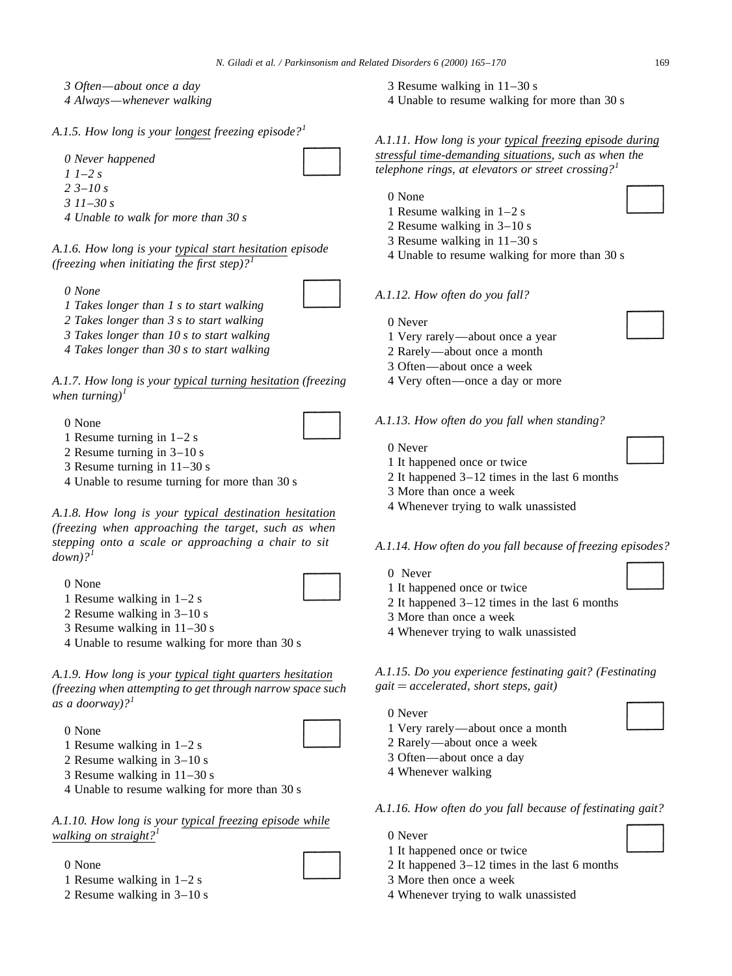- *3 Often—about once a day*
- *4 Always—whenever walking*

## *A.1.5. How long is your longest freezing episode?<sup>1</sup>*

*0 Never happened*

- *1 1–2 s*
- *2 3–10 s*
- *3 11–30 s*

*4 Unable to walk for more than 30 s*

*A.1.6. How long is your typical start hesitation episode (freezing when initiating the first step)?<sup>1</sup>*

*0 None*

- 
- *1 Takes longer than 1 s to start walking 2 Takes longer than 3 s to start walking*

*3 Takes longer than 10 s to start walking*

*4 Takes longer than 30 s to start walking*

*A.1.7. How long is your typical turning hesitation (freezing when turning* $)$ <sup>1</sup>

0 None

- 1 Resume turning in 1–2 s
- 2 Resume turning in 3–10 s
- 3 Resume turning in 11–30 s
- 4 Unable to resume turning for more than 30 s

*A.1.8. How long is your typical destination hesitation (freezing when approaching the target, such as when stepping onto a scale or approaching a chair to sit*  $down$ ?<sup>1</sup>

0 None

- 1 Resume walking in 1–2 s
- 2 Resume walking in 3–10 s
- 3 Resume walking in 11–30 s
- 4 Unable to resume walking for more than 30 s

*A.1.9. How long is your typical tight quarters hesitation (freezing when attempting to get through narrow space such as a doorway)?<sup>1</sup>*

0 None

- 1 Resume walking in 1–2 s
- 2 Resume walking in 3–10 s
- 3 Resume walking in 11–30 s
- 4 Unable to resume walking for more than 30 s

# *A.1.10. How long is your typical freezing episode while walking on straight?<sup>1</sup>*

- 0 None
- 1 Resume walking in 1–2 s
- 2 Resume walking in 3–10 s
- 3 Resume walking in 11–30 s
- 4 Unable to resume walking for more than 30 s

*A.1.11. How long is your typical freezing episode during stressful time-demanding situations, such as when the telephone rings, at elevators or street crossing?<sup>1</sup>*

- 0 None
- 1 Resume walking in 1–2 s
- 2 Resume walking in 3–10 s
- 3 Resume walking in 11–30 s
- 4 Unable to resume walking for more than 30 s

#### *A.1.12. How often do you fall?*

- 0 Never
- 1 Very rarely—about once a year
- 2 Rarely—about once a month
- 3 Often—about once a week
- 4 Very often—once a day or more

## *A.1.13. How often do you fall when standing?*

- 0 Never
- 1 It happened once or twice
- 2 It happened 3–12 times in the last 6 months
- 3 More than once a week
- 4 Whenever trying to walk unassisted

*A.1.14. How often do you fall because of freezing episodes?*

- 0 Never
- 1 It happened once or twice
- 2 It happened 3–12 times in the last 6 months
- 3 More than once a week
- 4 Whenever trying to walk unassisted

## *A.1.15. Do you experience festinating gait? (Festinating gait accelerated, short steps, gait)*

- 0 Never
- 1 Very rarely—about once a month
- 2 Rarely—about once a week
- 3 Often—about once a day
- 4 Whenever walking

*A.1.16. How often do you fall because of festinating gait?*

- 0 Never
- 1 It happened once or twice
- 2 It happened 3–12 times in the last 6 months
- 3 More then once a week
- 4 Whenever trying to walk unassisted